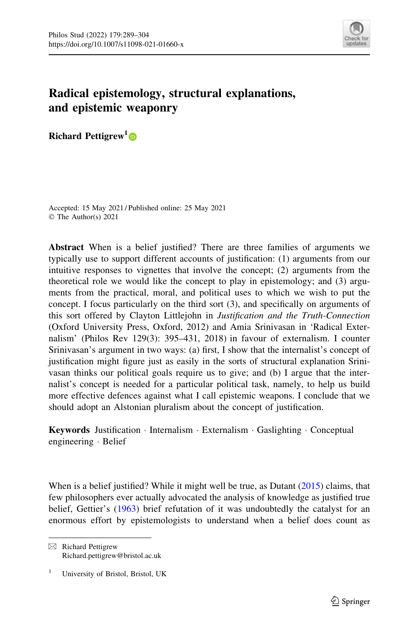

## Radical epistemology, structural explanations, and epistemic weaponry

Richard Pettigrew<sup>1</sup>

Accepted: 15 May 2021 / Published online: 25 May 2021 © The Author(s) 2021

Abstract When is a belief justified? There are three families of arguments we typically use to support different accounts of justification: (1) arguments from our intuitive responses to vignettes that involve the concept; (2) arguments from the theoretical role we would like the concept to play in epistemology; and (3) arguments from the practical, moral, and political uses to which we wish to put the concept. I focus particularly on the third sort (3), and specifically on arguments of this sort offered by Clayton Littlejohn in Justification and the Truth-Connection (Oxford University Press, Oxford, 2012) and Amia Srinivasan in 'Radical Externalism' (Philos Rev 129(3): 395–431, 2018) in favour of externalism. I counter Srinivasan's argument in two ways: (a) first, I show that the internalist's concept of justification might figure just as easily in the sorts of structural explanation Srinivasan thinks our political goals require us to give; and (b) I argue that the internalist's concept is needed for a particular political task, namely, to help us build more effective defences against what I call epistemic weapons. I conclude that we should adopt an Alstonian pluralism about the concept of justification.

Keywords Justification · Internalism · Externalism · Gaslighting · Conceptual engineering - Belief

When is a belief justified? While it might well be true, as Dutant [\(2015](#page-15-0)) claims, that few philosophers ever actually advocated the analysis of knowledge as justified true belief, Gettier's ([1963\)](#page-15-0) brief refutation of it was undoubtedly the catalyst for an enormous effort by epistemologists to understand when a belief does count as

 $\boxtimes$  Richard Pettigrew Richard.pettigrew@bristol.ac.uk

<sup>&</sup>lt;sup>1</sup> University of Bristol, Bristol, UK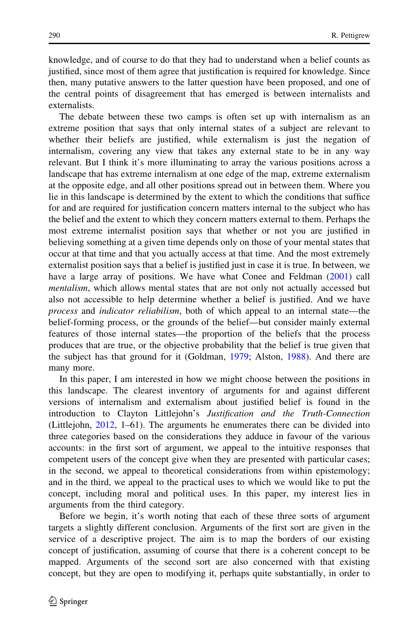knowledge, and of course to do that they had to understand when a belief counts as justified, since most of them agree that justification is required for knowledge. Since then, many putative answers to the latter question have been proposed, and one of the central points of disagreement that has emerged is between internalists and externalists.

The debate between these two camps is often set up with internalism as an extreme position that says that only internal states of a subject are relevant to whether their beliefs are justified, while externalism is just the negation of internalism, covering any view that takes any external state to be in any way relevant. But I think it's more illuminating to array the various positions across a landscape that has extreme internalism at one edge of the map, extreme externalism at the opposite edge, and all other positions spread out in between them. Where you lie in this landscape is determined by the extent to which the conditions that suffice for and are required for justification concern matters internal to the subject who has the belief and the extent to which they concern matters external to them. Perhaps the most extreme internalist position says that whether or not you are justified in believing something at a given time depends only on those of your mental states that occur at that time and that you actually access at that time. And the most extremely externalist position says that a belief is justified just in case it is true. In between, we have a large array of positions. We have what Conee and Feldman [\(2001](#page-15-0)) call mentalism, which allows mental states that are not only not actually accessed but also not accessible to help determine whether a belief is justified. And we have process and indicator reliabilism, both of which appeal to an internal state—the belief-forming process, or the grounds of the belief—but consider mainly external features of those internal states—the proportion of the beliefs that the process produces that are true, or the objective probability that the belief is true given that the subject has that ground for it (Goldman, [1979;](#page-15-0) Alston, [1988\)](#page-15-0). And there are many more.

In this paper, I am interested in how we might choose between the positions in this landscape. The clearest inventory of arguments for and against different versions of internalism and externalism about justified belief is found in the introduction to Clayton Littlejohn's Justification and the Truth-Connection (Littlejohn, [2012](#page-15-0), 1–61). The arguments he enumerates there can be divided into three categories based on the considerations they adduce in favour of the various accounts: in the first sort of argument, we appeal to the intuitive responses that competent users of the concept give when they are presented with particular cases; in the second, we appeal to theoretical considerations from within epistemology; and in the third, we appeal to the practical uses to which we would like to put the concept, including moral and political uses. In this paper, my interest lies in arguments from the third category.

Before we begin, it's worth noting that each of these three sorts of argument targets a slightly different conclusion. Arguments of the first sort are given in the service of a descriptive project. The aim is to map the borders of our existing concept of justification, assuming of course that there is a coherent concept to be mapped. Arguments of the second sort are also concerned with that existing concept, but they are open to modifying it, perhaps quite substantially, in order to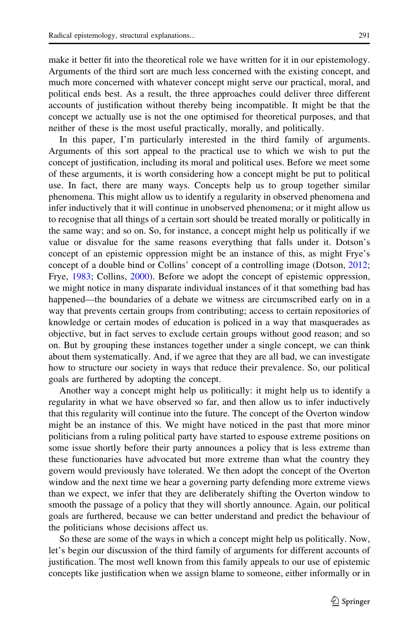make it better fit into the theoretical role we have written for it in our epistemology. Arguments of the third sort are much less concerned with the existing concept, and much more concerned with whatever concept might serve our practical, moral, and political ends best. As a result, the three approaches could deliver three different accounts of justification without thereby being incompatible. It might be that the concept we actually use is not the one optimised for theoretical purposes, and that neither of these is the most useful practically, morally, and politically.

In this paper, I'm particularly interested in the third family of arguments. Arguments of this sort appeal to the practical use to which we wish to put the concept of justification, including its moral and political uses. Before we meet some of these arguments, it is worth considering how a concept might be put to political use. In fact, there are many ways. Concepts help us to group together similar phenomena. This might allow us to identify a regularity in observed phenomena and infer inductively that it will continue in unobserved phenomena; or it might allow us to recognise that all things of a certain sort should be treated morally or politically in the same way; and so on. So, for instance, a concept might help us politically if we value or disvalue for the same reasons everything that falls under it. Dotson's concept of an epistemic oppression might be an instance of this, as might Frye's concept of a double bind or Collins' concept of a controlling image (Dotson, [2012;](#page-15-0) Frye, [1983](#page-15-0); Collins, [2000\)](#page-15-0). Before we adopt the concept of epistemic oppression, we might notice in many disparate individual instances of it that something bad has happened—the boundaries of a debate we witness are circumscribed early on in a way that prevents certain groups from contributing; access to certain repositories of knowledge or certain modes of education is policed in a way that masquerades as objective, but in fact serves to exclude certain groups without good reason; and so on. But by grouping these instances together under a single concept, we can think about them systematically. And, if we agree that they are all bad, we can investigate how to structure our society in ways that reduce their prevalence. So, our political goals are furthered by adopting the concept.

Another way a concept might help us politically: it might help us to identify a regularity in what we have observed so far, and then allow us to infer inductively that this regularity will continue into the future. The concept of the Overton window might be an instance of this. We might have noticed in the past that more minor politicians from a ruling political party have started to espouse extreme positions on some issue shortly before their party announces a policy that is less extreme than these functionaries have advocated but more extreme than what the country they govern would previously have tolerated. We then adopt the concept of the Overton window and the next time we hear a governing party defending more extreme views than we expect, we infer that they are deliberately shifting the Overton window to smooth the passage of a policy that they will shortly announce. Again, our political goals are furthered, because we can better understand and predict the behaviour of the politicians whose decisions affect us.

So these are some of the ways in which a concept might help us politically. Now, let's begin our discussion of the third family of arguments for different accounts of justification. The most well known from this family appeals to our use of epistemic concepts like justification when we assign blame to someone, either informally or in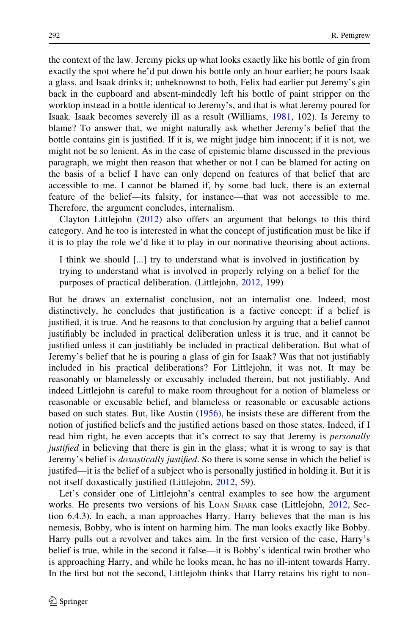the context of the law. Jeremy picks up what looks exactly like his bottle of gin from exactly the spot where he'd put down his bottle only an hour earlier; he pours Isaak a glass, and Isaak drinks it; unbeknownst to both, Felix had earlier put Jeremy's gin back in the cupboard and absent-mindedly left his bottle of paint stripper on the worktop instead in a bottle identical to Jeremy's, and that is what Jeremy poured for Isaak. Isaak becomes severely ill as a result (Williams, [1981,](#page-15-0) 102). Is Jeremy to blame? To answer that, we might naturally ask whether Jeremy's belief that the bottle contains gin is justified. If it is, we might judge him innocent; if it is not, we might not be so lenient. As in the case of epistemic blame discussed in the previous paragraph, we might then reason that whether or not I can be blamed for acting on the basis of a belief I have can only depend on features of that belief that are accessible to me. I cannot be blamed if, by some bad luck, there is an external feature of the belief—its falsity, for instance—that was not accessible to me. Therefore, the argument concludes, internalism.

Clayton Littlejohn ([2012\)](#page-15-0) also offers an argument that belongs to this third category. And he too is interested in what the concept of justification must be like if it is to play the role we'd like it to play in our normative theorising about actions.

I think we should [...] try to understand what is involved in justification by trying to understand what is involved in properly relying on a belief for the purposes of practical deliberation. (Littlejohn, [2012](#page-15-0), 199)

But he draws an externalist conclusion, not an internalist one. Indeed, most distinctively, he concludes that justification is a factive concept: if a belief is justified, it is true. And he reasons to that conclusion by arguing that a belief cannot justifiably be included in practical deliberation unless it is true, and it cannot be justified unless it can justifiably be included in practical deliberation. But what of Jeremy's belief that he is pouring a glass of gin for Isaak? Was that not justifiably included in his practical deliberations? For Littlejohn, it was not. It may be reasonably or blamelessly or excusably included therein, but not justifiably. And indeed Littlejohn is careful to make room throughout for a notion of blameless or reasonable or excusable belief, and blameless or reasonable or excusable actions based on such states. But, like Austin ([1956\)](#page-15-0), he insists these are different from the notion of justified beliefs and the justified actions based on those states. Indeed, if I read him right, he even accepts that it's correct to say that Jeremy is *personally* justified in believing that there is gin in the glass; what it is wrong to say is that Jeremy's belief is *doxastically justified*. So there is some sense in which the belief is justifed—it is the belief of a subject who is personally justified in holding it. But it is not itself doxastically justified (Littlejohn, [2012,](#page-15-0) 59).

Let's consider one of Littlejohn's central examples to see how the argument works. He presents two versions of his LOAN SHARK case (Littlejohn, [2012,](#page-15-0) Section 6.4.3). In each, a man approaches Harry. Harry believes that the man is his nemesis, Bobby, who is intent on harming him. The man looks exactly like Bobby. Harry pulls out a revolver and takes aim. In the first version of the case, Harry's belief is true, while in the second it false—it is Bobby's identical twin brother who is approaching Harry, and while he looks mean, he has no ill-intent towards Harry. In the first but not the second, Littlejohn thinks that Harry retains his right to non-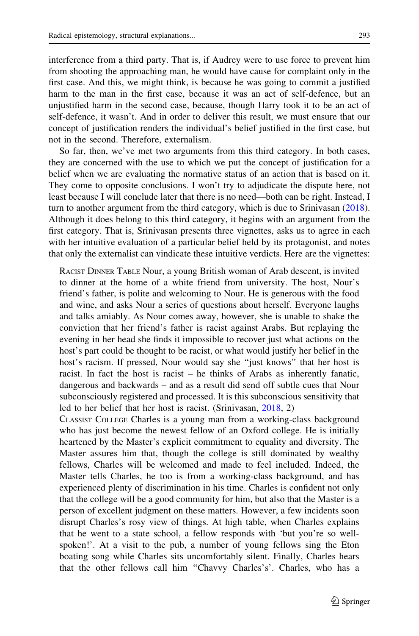interference from a third party. That is, if Audrey were to use force to prevent him from shooting the approaching man, he would have cause for complaint only in the first case. And this, we might think, is because he was going to commit a justified harm to the man in the first case, because it was an act of self-defence, but an unjustified harm in the second case, because, though Harry took it to be an act of self-defence, it wasn't. And in order to deliver this result, we must ensure that our concept of justification renders the individual's belief justified in the first case, but not in the second. Therefore, externalism.

So far, then, we've met two arguments from this third category. In both cases, they are concerned with the use to which we put the concept of justification for a belief when we are evaluating the normative status of an action that is based on it. They come to opposite conclusions. I won't try to adjudicate the dispute here, not least because I will conclude later that there is no need—both can be right. Instead, I turn to another argument from the third category, which is due to Srinivasan ([2018\)](#page-15-0). Although it does belong to this third category, it begins with an argument from the first category. That is, Srinivasan presents three vignettes, asks us to agree in each with her intuitive evaluation of a particular belief held by its protagonist, and notes that only the externalist can vindicate these intuitive verdicts. Here are the vignettes:

RACIST DINNER TABLE Nour, a young British woman of Arab descent, is invited to dinner at the home of a white friend from university. The host, Nour's friend's father, is polite and welcoming to Nour. He is generous with the food and wine, and asks Nour a series of questions about herself. Everyone laughs and talks amiably. As Nour comes away, however, she is unable to shake the conviction that her friend's father is racist against Arabs. But replaying the evening in her head she finds it impossible to recover just what actions on the host's part could be thought to be racist, or what would justify her belief in the host's racism. If pressed, Nour would say she ''just knows'' that her host is racist. In fact the host is racist – he thinks of Arabs as inherently fanatic, dangerous and backwards – and as a result did send off subtle cues that Nour subconsciously registered and processed. It is this subconscious sensitivity that led to her belief that her host is racist. (Srinivasan, [2018,](#page-15-0) 2)

CLASSIST COLLEGE Charles is a young man from a working-class background who has just become the newest fellow of an Oxford college. He is initially heartened by the Master's explicit commitment to equality and diversity. The Master assures him that, though the college is still dominated by wealthy fellows, Charles will be welcomed and made to feel included. Indeed, the Master tells Charles, he too is from a working-class background, and has experienced plenty of discrimination in his time. Charles is confident not only that the college will be a good community for him, but also that the Master is a person of excellent judgment on these matters. However, a few incidents soon disrupt Charles's rosy view of things. At high table, when Charles explains that he went to a state school, a fellow responds with 'but you're so wellspoken!'. At a visit to the pub, a number of young fellows sing the Eton boating song while Charles sits uncomfortably silent. Finally, Charles hears that the other fellows call him ''Chavvy Charles's'. Charles, who has a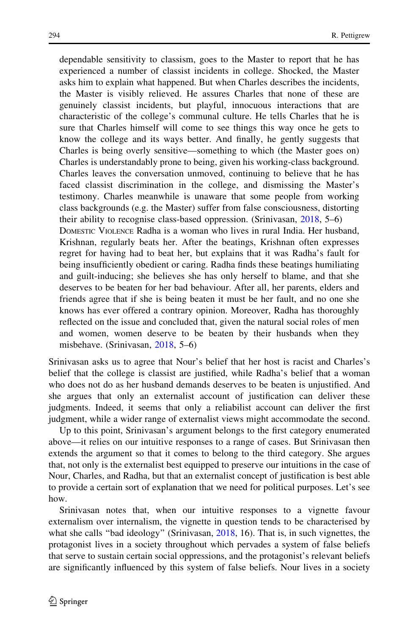dependable sensitivity to classism, goes to the Master to report that he has experienced a number of classist incidents in college. Shocked, the Master asks him to explain what happened. But when Charles describes the incidents, the Master is visibly relieved. He assures Charles that none of these are genuinely classist incidents, but playful, innocuous interactions that are characteristic of the college's communal culture. He tells Charles that he is sure that Charles himself will come to see things this way once he gets to know the college and its ways better. And finally, he gently suggests that Charles is being overly sensitive—something to which (the Master goes on) Charles is understandably prone to being, given his working-class background. Charles leaves the conversation unmoved, continuing to believe that he has faced classist discrimination in the college, and dismissing the Master's testimony. Charles meanwhile is unaware that some people from working class backgrounds (e.g. the Master) suffer from false consciousness, distorting their ability to recognise class-based oppression. (Srinivasan, [2018](#page-15-0), 5–6) DOMESTIC VIOLENCE Radha is a woman who lives in rural India. Her husband, Krishnan, regularly beats her. After the beatings, Krishnan often expresses regret for having had to beat her, but explains that it was Radha's fault for being insufficiently obedient or caring. Radha finds these beatings humiliating and guilt-inducing; she believes she has only herself to blame, and that she deserves to be beaten for her bad behaviour. After all, her parents, elders and friends agree that if she is being beaten it must be her fault, and no one she knows has ever offered a contrary opinion. Moreover, Radha has thoroughly reflected on the issue and concluded that, given the natural social roles of men and women, women deserve to be beaten by their husbands when they misbehave. (Srinivasan, [2018](#page-15-0), 5–6)

Srinivasan asks us to agree that Nour's belief that her host is racist and Charles's belief that the college is classist are justified, while Radha's belief that a woman who does not do as her husband demands deserves to be beaten is unjustified. And she argues that only an externalist account of justification can deliver these judgments. Indeed, it seems that only a reliabilist account can deliver the first judgment, while a wider range of externalist views might accommodate the second.

Up to this point, Srinivasan's argument belongs to the first category enumerated above—it relies on our intuitive responses to a range of cases. But Srinivasan then extends the argument so that it comes to belong to the third category. She argues that, not only is the externalist best equipped to preserve our intuitions in the case of Nour, Charles, and Radha, but that an externalist concept of justification is best able to provide a certain sort of explanation that we need for political purposes. Let's see how.

Srinivasan notes that, when our intuitive responses to a vignette favour externalism over internalism, the vignette in question tends to be characterised by what she calls "bad ideology" (Srinivasan, [2018,](#page-15-0) 16). That is, in such vignettes, the protagonist lives in a society throughout which pervades a system of false beliefs that serve to sustain certain social oppressions, and the protagonist's relevant beliefs are significantly influenced by this system of false beliefs. Nour lives in a society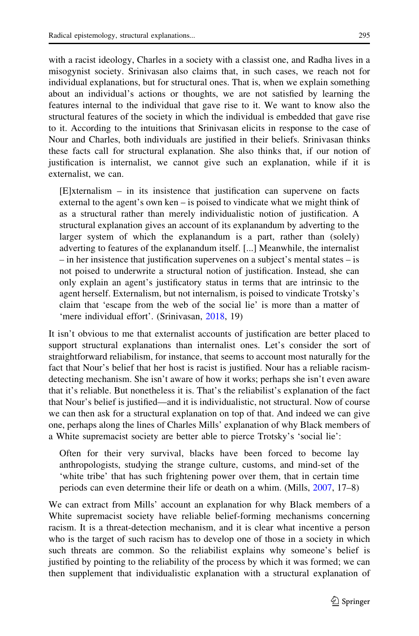with a racist ideology, Charles in a society with a classist one, and Radha lives in a misogynist society. Srinivasan also claims that, in such cases, we reach not for individual explanations, but for structural ones. That is, when we explain something about an individual's actions or thoughts, we are not satisfied by learning the features internal to the individual that gave rise to it. We want to know also the structural features of the society in which the individual is embedded that gave rise to it. According to the intuitions that Srinivasan elicits in response to the case of Nour and Charles, both individuals are justified in their beliefs. Srinivasan thinks these facts call for structural explanation. She also thinks that, if our notion of justification is internalist, we cannot give such an explanation, while if it is externalist, we can.

[E]xternalism – in its insistence that justification can supervene on facts external to the agent's own ken – is poised to vindicate what we might think of as a structural rather than merely individualistic notion of justification. A structural explanation gives an account of its explanandum by adverting to the larger system of which the explanandum is a part, rather than (solely) adverting to features of the explanandum itself. [...] Meanwhile, the internalist – in her insistence that justification supervenes on a subject's mental states – is not poised to underwrite a structural notion of justification. Instead, she can only explain an agent's justificatory status in terms that are intrinsic to the agent herself. Externalism, but not internalism, is poised to vindicate Trotsky's claim that 'escape from the web of the social lie' is more than a matter of 'mere individual effort'. (Srinivasan, [2018,](#page-15-0) 19)

It isn't obvious to me that externalist accounts of justification are better placed to support structural explanations than internalist ones. Let's consider the sort of straightforward reliabilism, for instance, that seems to account most naturally for the fact that Nour's belief that her host is racist is justified. Nour has a reliable racismdetecting mechanism. She isn't aware of how it works; perhaps she isn't even aware that it's reliable. But nonetheless it is. That's the reliabilist's explanation of the fact that Nour's belief is justified—and it is individualistic, not structural. Now of course we can then ask for a structural explanation on top of that. And indeed we can give one, perhaps along the lines of Charles Mills' explanation of why Black members of a White supremacist society are better able to pierce Trotsky's 'social lie':

Often for their very survival, blacks have been forced to become lay anthropologists, studying the strange culture, customs, and mind-set of the 'white tribe' that has such frightening power over them, that in certain time periods can even determine their life or death on a whim. (Mills, [2007](#page-15-0), 17–8)

We can extract from Mills' account an explanation for why Black members of a White supremacist society have reliable belief-forming mechanisms concerning racism. It is a threat-detection mechanism, and it is clear what incentive a person who is the target of such racism has to develop one of those in a society in which such threats are common. So the reliabilist explains why someone's belief is justified by pointing to the reliability of the process by which it was formed; we can then supplement that individualistic explanation with a structural explanation of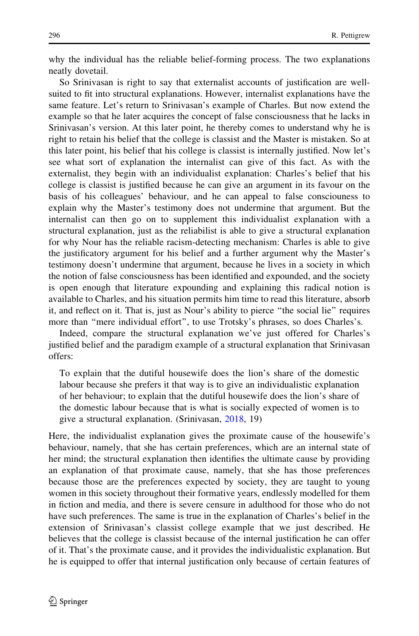why the individual has the reliable belief-forming process. The two explanations neatly dovetail.

So Srinivasan is right to say that externalist accounts of justification are wellsuited to fit into structural explanations. However, internalist explanations have the same feature. Let's return to Srinivasan's example of Charles. But now extend the example so that he later acquires the concept of false consciousness that he lacks in Srinivasan's version. At this later point, he thereby comes to understand why he is right to retain his belief that the college is classist and the Master is mistaken. So at this later point, his belief that his college is classist is internally justified. Now let's see what sort of explanation the internalist can give of this fact. As with the externalist, they begin with an individualist explanation: Charles's belief that his college is classist is justified because he can give an argument in its favour on the basis of his colleagues' behaviour, and he can appeal to false consciouness to explain why the Master's testimony does not undermine that argument. But the internalist can then go on to supplement this individualist explanation with a structural explanation, just as the reliabilist is able to give a structural explanation for why Nour has the reliable racism-detecting mechanism: Charles is able to give the justificatory argument for his belief and a further argument why the Master's testimony doesn't undermine that argument, because he lives in a society in which the notion of false consciousness has been identified and expounded, and the society is open enough that literature expounding and explaining this radical notion is available to Charles, and his situation permits him time to read this literature, absorb it, and reflect on it. That is, just as Nour's ability to pierce ''the social lie'' requires more than ''mere individual effort'', to use Trotsky's phrases, so does Charles's.

Indeed, compare the structural explanation we've just offered for Charles's justified belief and the paradigm example of a structural explanation that Srinivasan offers:

To explain that the dutiful housewife does the lion's share of the domestic labour because she prefers it that way is to give an individualistic explanation of her behaviour; to explain that the dutiful housewife does the lion's share of the domestic labour because that is what is socially expected of women is to give a structural explanation. (Srinivasan, [2018,](#page-15-0) 19)

Here, the individualist explanation gives the proximate cause of the housewife's behaviour, namely, that she has certain preferences, which are an internal state of her mind; the structural explanation then identifies the ultimate cause by providing an explanation of that proximate cause, namely, that she has those preferences because those are the preferences expected by society, they are taught to young women in this society throughout their formative years, endlessly modelled for them in fiction and media, and there is severe censure in adulthood for those who do not have such preferences. The same is true in the explanation of Charles's belief in the extension of Srinivasan's classist college example that we just described. He believes that the college is classist because of the internal justification he can offer of it. That's the proximate cause, and it provides the individualistic explanation. But he is equipped to offer that internal justification only because of certain features of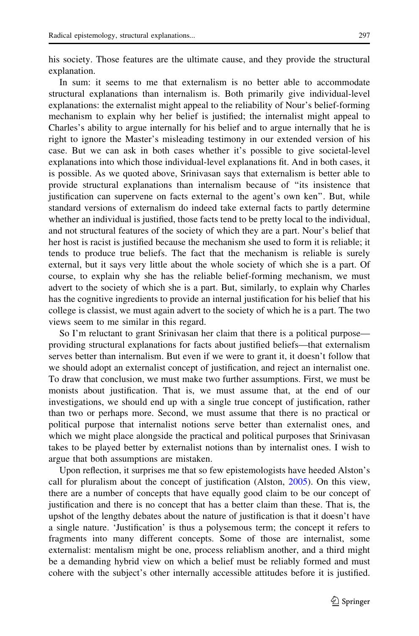his society. Those features are the ultimate cause, and they provide the structural explanation.

In sum: it seems to me that externalism is no better able to accommodate structural explanations than internalism is. Both primarily give individual-level explanations: the externalist might appeal to the reliability of Nour's belief-forming mechanism to explain why her belief is justified; the internalist might appeal to Charles's ability to argue internally for his belief and to argue internally that he is right to ignore the Master's misleading testimony in our extended version of his case. But we can ask in both cases whether it's possible to give societal-level explanations into which those individual-level explanations fit. And in both cases, it is possible. As we quoted above, Srinivasan says that externalism is better able to provide structural explanations than internalism because of ''its insistence that justification can supervene on facts external to the agent's own ken''. But, while standard versions of externalism do indeed take external facts to partly determine whether an individual is justified, those facts tend to be pretty local to the individual, and not structural features of the society of which they are a part. Nour's belief that her host is racist is justified because the mechanism she used to form it is reliable; it tends to produce true beliefs. The fact that the mechanism is reliable is surely external, but it says very little about the whole society of which she is a part. Of course, to explain why she has the reliable belief-forming mechanism, we must advert to the society of which she is a part. But, similarly, to explain why Charles has the cognitive ingredients to provide an internal justification for his belief that his college is classist, we must again advert to the society of which he is a part. The two views seem to me similar in this regard.

So I'm reluctant to grant Srinivasan her claim that there is a political purpose providing structural explanations for facts about justified beliefs—that externalism serves better than internalism. But even if we were to grant it, it doesn't follow that we should adopt an externalist concept of justification, and reject an internalist one. To draw that conclusion, we must make two further assumptions. First, we must be monists about justification. That is, we must assume that, at the end of our investigations, we should end up with a single true concept of justification, rather than two or perhaps more. Second, we must assume that there is no practical or political purpose that internalist notions serve better than externalist ones, and which we might place alongside the practical and political purposes that Srinivasan takes to be played better by externalist notions than by internalist ones. I wish to argue that both assumptions are mistaken.

Upon reflection, it surprises me that so few epistemologists have heeded Alston's call for pluralism about the concept of justification (Alston, [2005\)](#page-15-0). On this view, there are a number of concepts that have equally good claim to be our concept of justification and there is no concept that has a better claim than these. That is, the upshot of the lengthy debates about the nature of justification is that it doesn't have a single nature. 'Justification' is thus a polysemous term; the concept it refers to fragments into many different concepts. Some of those are internalist, some externalist: mentalism might be one, process reliablism another, and a third might be a demanding hybrid view on which a belief must be reliably formed and must cohere with the subject's other internally accessible attitudes before it is justified.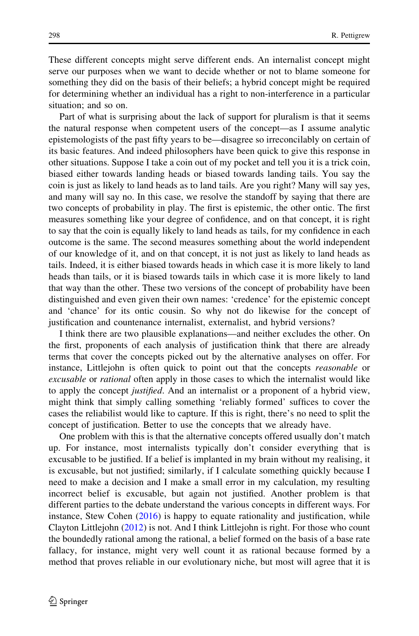These different concepts might serve different ends. An internalist concept might serve our purposes when we want to decide whether or not to blame someone for something they did on the basis of their beliefs; a hybrid concept might be required for determining whether an individual has a right to non-interference in a particular situation; and so on.

Part of what is surprising about the lack of support for pluralism is that it seems the natural response when competent users of the concept—as I assume analytic epistemologists of the past fifty years to be—disagree so irreconcilably on certain of its basic features. And indeed philosophers have been quick to give this response in other situations. Suppose I take a coin out of my pocket and tell you it is a trick coin, biased either towards landing heads or biased towards landing tails. You say the coin is just as likely to land heads as to land tails. Are you right? Many will say yes, and many will say no. In this case, we resolve the standoff by saying that there are two concepts of probability in play. The first is epistemic, the other ontic. The first measures something like your degree of confidence, and on that concept, it is right to say that the coin is equally likely to land heads as tails, for my confidence in each outcome is the same. The second measures something about the world independent of our knowledge of it, and on that concept, it is not just as likely to land heads as tails. Indeed, it is either biased towards heads in which case it is more likely to land heads than tails, or it is biased towards tails in which case it is more likely to land that way than the other. These two versions of the concept of probability have been distinguished and even given their own names: 'credence' for the epistemic concept and 'chance' for its ontic cousin. So why not do likewise for the concept of justification and countenance internalist, externalist, and hybrid versions?

I think there are two plausible explanations—and neither excludes the other. On the first, proponents of each analysis of justification think that there are already terms that cover the concepts picked out by the alternative analyses on offer. For instance, Littlejohn is often quick to point out that the concepts *reasonable* or excusable or rational often apply in those cases to which the internalist would like to apply the concept *justified*. And an internalist or a proponent of a hybrid view, might think that simply calling something 'reliably formed' suffices to cover the cases the reliabilist would like to capture. If this is right, there's no need to split the concept of justification. Better to use the concepts that we already have.

One problem with this is that the alternative concepts offered usually don't match up. For instance, most internalists typically don't consider everything that is excusable to be justified. If a belief is implanted in my brain without my realising, it is excusable, but not justified; similarly, if I calculate something quickly because I need to make a decision and I make a small error in my calculation, my resulting incorrect belief is excusable, but again not justified. Another problem is that different parties to the debate understand the various concepts in different ways. For instance, Stew Cohen ([2016\)](#page-15-0) is happy to equate rationality and justification, while Clayton Littlejohn ([2012\)](#page-15-0) is not. And I think Littlejohn is right. For those who count the boundedly rational among the rational, a belief formed on the basis of a base rate fallacy, for instance, might very well count it as rational because formed by a method that proves reliable in our evolutionary niche, but most will agree that it is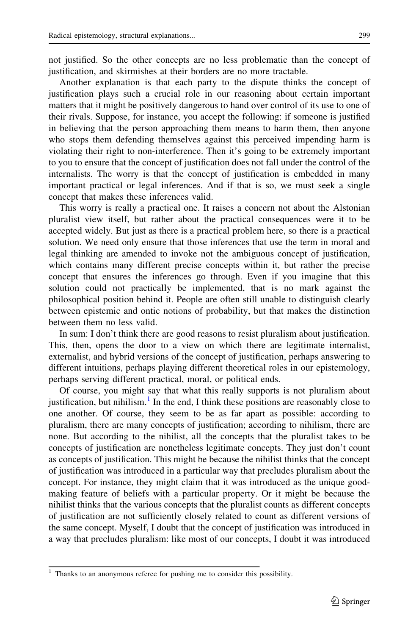not justified. So the other concepts are no less problematic than the concept of justification, and skirmishes at their borders are no more tractable.

Another explanation is that each party to the dispute thinks the concept of justification plays such a crucial role in our reasoning about certain important matters that it might be positively dangerous to hand over control of its use to one of their rivals. Suppose, for instance, you accept the following: if someone is justified in believing that the person approaching them means to harm them, then anyone who stops them defending themselves against this perceived impending harm is violating their right to non-interference. Then it's going to be extremely important to you to ensure that the concept of justification does not fall under the control of the internalists. The worry is that the concept of justification is embedded in many important practical or legal inferences. And if that is so, we must seek a single concept that makes these inferences valid.

This worry is really a practical one. It raises a concern not about the Alstonian pluralist view itself, but rather about the practical consequences were it to be accepted widely. But just as there is a practical problem here, so there is a practical solution. We need only ensure that those inferences that use the term in moral and legal thinking are amended to invoke not the ambiguous concept of justification, which contains many different precise concepts within it, but rather the precise concept that ensures the inferences go through. Even if you imagine that this solution could not practically be implemented, that is no mark against the philosophical position behind it. People are often still unable to distinguish clearly between epistemic and ontic notions of probability, but that makes the distinction between them no less valid.

In sum: I don't think there are good reasons to resist pluralism about justification. This, then, opens the door to a view on which there are legitimate internalist, externalist, and hybrid versions of the concept of justification, perhaps answering to different intuitions, perhaps playing different theoretical roles in our epistemology, perhaps serving different practical, moral, or political ends.

Of course, you might say that what this really supports is not pluralism about justification, but nihilism. $<sup>1</sup>$  In the end, I think these positions are reasonably close to</sup> one another. Of course, they seem to be as far apart as possible: according to pluralism, there are many concepts of justification; according to nihilism, there are none. But according to the nihilist, all the concepts that the pluralist takes to be concepts of justification are nonetheless legitimate concepts. They just don't count as concepts of justification. This might be because the nihilist thinks that the concept of justification was introduced in a particular way that precludes pluralism about the concept. For instance, they might claim that it was introduced as the unique goodmaking feature of beliefs with a particular property. Or it might be because the nihilist thinks that the various concepts that the pluralist counts as different concepts of justification are not sufficiently closely related to count as different versions of the same concept. Myself, I doubt that the concept of justification was introduced in a way that precludes pluralism: like most of our concepts, I doubt it was introduced

Thanks to an anonymous referee for pushing me to consider this possibility.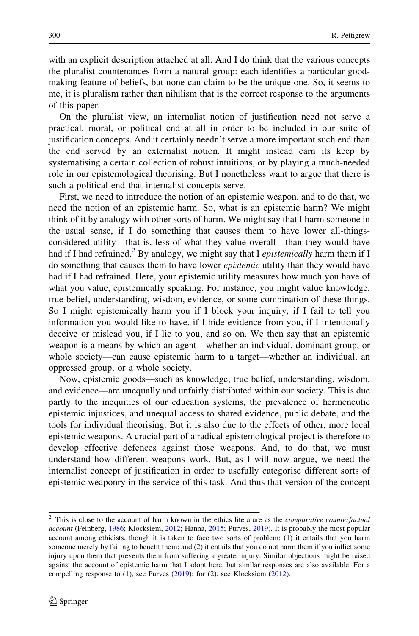with an explicit description attached at all. And I do think that the various concepts the pluralist countenances form a natural group: each identifies a particular goodmaking feature of beliefs, but none can claim to be the unique one. So, it seems to me, it is pluralism rather than nihilism that is the correct response to the arguments of this paper.

On the pluralist view, an internalist notion of justification need not serve a practical, moral, or political end at all in order to be included in our suite of justification concepts. And it certainly needn't serve a more important such end than the end served by an externalist notion. It might instead earn its keep by systematising a certain collection of robust intuitions, or by playing a much-needed role in our epistemological theorising. But I nonetheless want to argue that there is such a political end that internalist concepts serve.

First, we need to introduce the notion of an epistemic weapon, and to do that, we need the notion of an epistemic harm. So, what is an epistemic harm? We might think of it by analogy with other sorts of harm. We might say that I harm someone in the usual sense, if I do something that causes them to have lower all-thingsconsidered utility—that is, less of what they value overall—than they would have had if I had refrained.<sup>2</sup> By analogy, we might say that I *epistemically* harm them if I do something that causes them to have lower *epistemic* utility than they would have had if I had refrained. Here, your epistemic utility measures how much you have of what you value, epistemically speaking. For instance, you might value knowledge, true belief, understanding, wisdom, evidence, or some combination of these things. So I might epistemically harm you if I block your inquiry, if I fail to tell you information you would like to have, if I hide evidence from you, if I intentionally deceive or mislead you, if I lie to you, and so on. We then say that an epistemic weapon is a means by which an agent—whether an individual, dominant group, or whole society—can cause epistemic harm to a target—whether an individual, an oppressed group, or a whole society.

Now, epistemic goods—such as knowledge, true belief, understanding, wisdom, and evidence—are unequally and unfairly distributed within our society. This is due partly to the inequities of our education systems, the prevalence of hermeneutic epistemic injustices, and unequal access to shared evidence, public debate, and the tools for individual theorising. But it is also due to the effects of other, more local epistemic weapons. A crucial part of a radical epistemological project is therefore to develop effective defences against those weapons. And, to do that, we must understand how different weapons work. But, as I will now argue, we need the internalist concept of justification in order to usefully categorise different sorts of epistemic weaponry in the service of this task. And thus that version of the concept

<sup>&</sup>lt;sup>2</sup> This is close to the account of harm known in the ethics literature as the *comparative counterfactual* account (Feinberg, [1986;](#page-15-0) Klocksiem, [2012](#page-15-0); Hanna, [2015;](#page-15-0) Purves, [2019](#page-15-0)). It is probably the most popular account among ethicists, though it is taken to face two sorts of problem: (1) it entails that you harm someone merely by failing to benefit them; and (2) it entails that you do not harm them if you inflict some injury upon them that prevents them from suffering a greater injury. Similar objections might be raised against the account of epistemic harm that I adopt here, but similar responses are also available. For a compelling response to  $(1)$ , see Purves  $(2019)$  $(2019)$  $(2019)$ ; for  $(2)$ , see Klocksiem  $(2012)$  $(2012)$  $(2012)$ .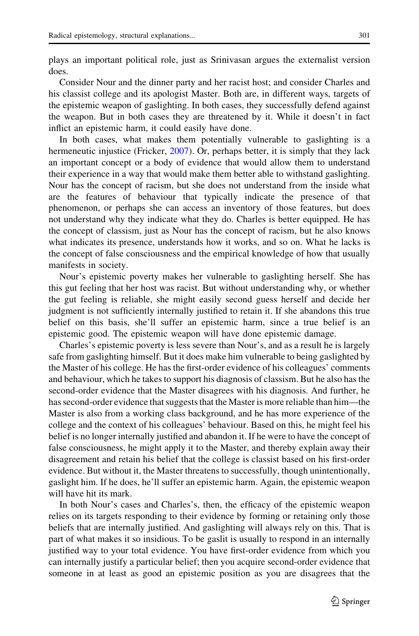plays an important political role, just as Srinivasan argues the externalist version does.

Consider Nour and the dinner party and her racist host; and consider Charles and his classist college and its apologist Master. Both are, in different ways, targets of the epistemic weapon of gaslighting. In both cases, they successfully defend against the weapon. But in both cases they are threatened by it. While it doesn't in fact inflict an epistemic harm, it could easily have done.

In both cases, what makes them potentially vulnerable to gaslighting is a hermeneutic injustice (Fricker, [2007](#page-15-0)). Or, perhaps better, it is simply that they lack an important concept or a body of evidence that would allow them to understand their experience in a way that would make them better able to withstand gaslighting. Nour has the concept of racism, but she does not understand from the inside what are the features of behaviour that typically indicate the presence of that phenomenon, or perhaps she can access an inventory of those features, but does not understand why they indicate what they do. Charles is better equipped. He has the concept of classism, just as Nour has the concept of racism, but he also knows what indicates its presence, understands how it works, and so on. What he lacks is the concept of false consciousness and the empirical knowledge of how that usually manifests in society.

Nour's epistemic poverty makes her vulnerable to gaslighting herself. She has this gut feeling that her host was racist. But without understanding why, or whether the gut feeling is reliable, she might easily second guess herself and decide her judgment is not sufficiently internally justified to retain it. If she abandons this true belief on this basis, she'll suffer an epistemic harm, since a true belief is an epistemic good. The epistemic weapon will have done epistemic damage.

Charles's epistemic poverty is less severe than Nour's, and as a result he is largely safe from gaslighting himself. But it does make him vulnerable to being gaslighted by the Master of his college. He has the first-order evidence of his colleagues' comments and behaviour, which he takes to support his diagnosis of classism. But he also has the second-order evidence that the Master disagrees with his diagnosis. And further, he has second-order evidence that suggests that the Master is more reliable than him—the Master is also from a working class background, and he has more experience of the college and the context of his colleagues' behaviour. Based on this, he might feel his belief is no longer internally justified and abandon it. If he were to have the concept of false consciousness, he might apply it to the Master, and thereby explain away their disagreement and retain his belief that the college is classist based on his first-order evidence. But without it, the Master threatens to successfully, though unintentionally, gaslight him. If he does, he'll suffer an epistemic harm. Again, the epistemic weapon will have hit its mark.

In both Nour's cases and Charles's, then, the efficacy of the epistemic weapon relies on its targets responding to their evidence by forming or retaining only those beliefs that are internally justified. And gaslighting will always rely on this. That is part of what makes it so insidious. To be gaslit is usually to respond in an internally justified way to your total evidence. You have first-order evidence from which you can internally justify a particular belief; then you acquire second-order evidence that someone in at least as good an epistemic position as you are disagrees that the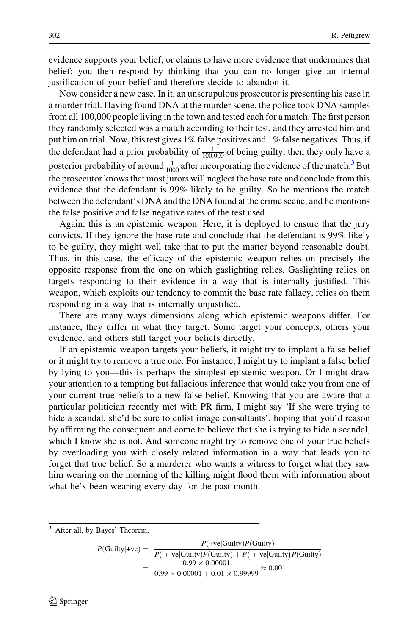evidence supports your belief, or claims to have more evidence that undermines that belief; you then respond by thinking that you can no longer give an internal justification of your belief and therefore decide to abandon it.

Now consider a new case. In it, an unscrupulous prosecutor is presenting his case in a murder trial. Having found DNA at the murder scene, the police took DNA samples from all 100,000 people living in the town and tested each for a match. The first person they randomly selected was a match according to their test, and they arrested him and put him on trial. Now, this test gives 1% false positives and 1% false negatives. Thus, if the defendant had a prior probability of  $\frac{1}{100,000}$  of being guilty, then they only have a posterior probability of around  $\frac{1}{1000}$  after incorporating the evidence of the match.<sup>3</sup> But the prosecutor knows that most jurors will neglect the base rate and conclude from this evidence that the defendant is 99% likely to be guilty. So he mentions the match between the defendant's DNA and the DNA found at the crime scene, and he mentions the false positive and false negative rates of the test used.

Again, this is an epistemic weapon. Here, it is deployed to ensure that the jury convicts. If they ignore the base rate and conclude that the defendant is 99% likely to be guilty, they might well take that to put the matter beyond reasonable doubt. Thus, in this case, the efficacy of the epistemic weapon relies on precisely the opposite response from the one on which gaslighting relies. Gaslighting relies on targets responding to their evidence in a way that is internally justified. This weapon, which exploits our tendency to commit the base rate fallacy, relies on them responding in a way that is internally unjustified.

There are many ways dimensions along which epistemic weapons differ. For instance, they differ in what they target. Some target your concepts, others your evidence, and others still target your beliefs directly.

If an epistemic weapon targets your beliefs, it might try to implant a false belief or it might try to remove a true one. For instance, I might try to implant a false belief by lying to you—this is perhaps the simplest epistemic weapon. Or I might draw your attention to a tempting but fallacious inference that would take you from one of your current true beliefs to a new false belief. Knowing that you are aware that a particular politician recently met with PR firm, I might say 'If she were trying to hide a scandal, she'd be sure to enlist image consultants', hoping that you'd reason by affirming the consequent and come to believe that she is trying to hide a scandal, which I know she is not. And someone might try to remove one of your true beliefs by overloading you with closely related information in a way that leads you to forget that true belief. So a murderer who wants a witness to forget what they saw him wearing on the morning of the killing might flood them with information about what he's been wearing every day for the past month.

 $P(\text{Guilty} | + \text{ve}) = \frac{P(\text{+ve} | \text{Guilty}) P(\text{Guilty})}{P(\text{+ve} | \text{Guilty}) P(\text{Guilty}) + P(\text{+ve} | \text{Guilty}) P(\text{Guilty})}$  $=\frac{0.99 \times 0.00001}{0.99 \times 0.00001 + 0.01 \times 0.999999} \approx 0.001$ 

<sup>3</sup> After all, by Bayes' Theorem,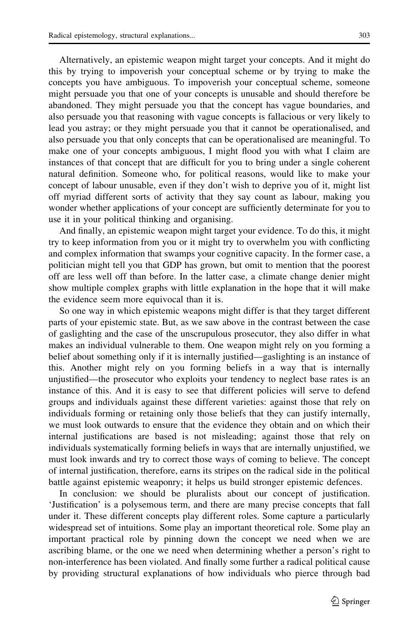Alternatively, an epistemic weapon might target your concepts. And it might do this by trying to impoverish your conceptual scheme or by trying to make the concepts you have ambiguous. To impoverish your conceptual scheme, someone might persuade you that one of your concepts is unusable and should therefore be abandoned. They might persuade you that the concept has vague boundaries, and also persuade you that reasoning with vague concepts is fallacious or very likely to lead you astray; or they might persuade you that it cannot be operationalised, and also persuade you that only concepts that can be operationalised are meaningful. To make one of your concepts ambiguous, I might flood you with what I claim are instances of that concept that are difficult for you to bring under a single coherent natural definition. Someone who, for political reasons, would like to make your concept of labour unusable, even if they don't wish to deprive you of it, might list off myriad different sorts of activity that they say count as labour, making you wonder whether applications of your concept are sufficiently determinate for you to use it in your political thinking and organising.

And finally, an epistemic weapon might target your evidence. To do this, it might try to keep information from you or it might try to overwhelm you with conflicting and complex information that swamps your cognitive capacity. In the former case, a politician might tell you that GDP has grown, but omit to mention that the poorest off are less well off than before. In the latter case, a climate change denier might show multiple complex graphs with little explanation in the hope that it will make the evidence seem more equivocal than it is.

So one way in which epistemic weapons might differ is that they target different parts of your epistemic state. But, as we saw above in the contrast between the case of gaslighting and the case of the unscrupulous prosecutor, they also differ in what makes an individual vulnerable to them. One weapon might rely on you forming a belief about something only if it is internally justified—gaslighting is an instance of this. Another might rely on you forming beliefs in a way that is internally unjustified—the prosecutor who exploits your tendency to neglect base rates is an instance of this. And it is easy to see that different policies will serve to defend groups and individuals against these different varieties: against those that rely on individuals forming or retaining only those beliefs that they can justify internally, we must look outwards to ensure that the evidence they obtain and on which their internal justifications are based is not misleading; against those that rely on individuals systematically forming beliefs in ways that are internally unjustified, we must look inwards and try to correct those ways of coming to believe. The concept of internal justification, therefore, earns its stripes on the radical side in the political battle against epistemic weaponry; it helps us build stronger epistemic defences.

In conclusion: we should be pluralists about our concept of justification. 'Justification' is a polysemous term, and there are many precise concepts that fall under it. These different concepts play different roles. Some capture a particularly widespread set of intuitions. Some play an important theoretical role. Some play an important practical role by pinning down the concept we need when we are ascribing blame, or the one we need when determining whether a person's right to non-interference has been violated. And finally some further a radical political cause by providing structural explanations of how individuals who pierce through bad